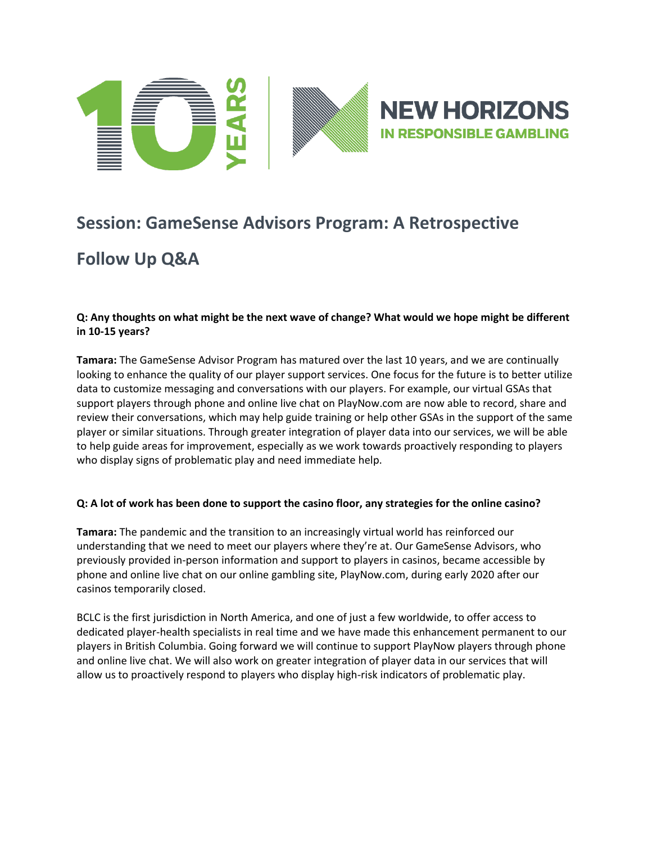

# **Session: GameSense Advisors Program: A Retrospective**

# **Follow Up Q&A**

## **Q: Any thoughts on what might be the next wave of change? What would we hope might be different in 10-15 years?**

**Tamara:** The GameSense Advisor Program has matured over the last 10 years, and we are continually looking to enhance the quality of our player support services. One focus for the future is to better utilize data to customize messaging and conversations with our players. For example, our virtual GSAs that support players through phone and online live chat on PlayNow.com are now able to record, share and review their conversations, which may help guide training or help other GSAs in the support of the same player or similar situations. Through greater integration of player data into our services, we will be able to help guide areas for improvement, especially as we work towards proactively responding to players who display signs of problematic play and need immediate help.

# **Q: A lot of work has been done to support the casino floor, any strategies for the online casino?**

**Tamara:** The pandemic and the transition to an increasingly virtual world has reinforced our understanding that we need to meet our players where they're at. Our GameSense Advisors, who previously provided in-person information and support to players in casinos, became accessible by phone and online live chat on our online gambling site, PlayNow.com, during early 2020 after our casinos temporarily closed.

BCLC is the first jurisdiction in North America, and one of just a few worldwide, to offer access to dedicated player-health specialists in real time and we have made this enhancement permanent to our players in British Columbia. Going forward we will continue to support PlayNow players through phone and online live chat. We will also work on greater integration of player data in our services that will allow us to proactively respond to players who display high-risk indicators of problematic play.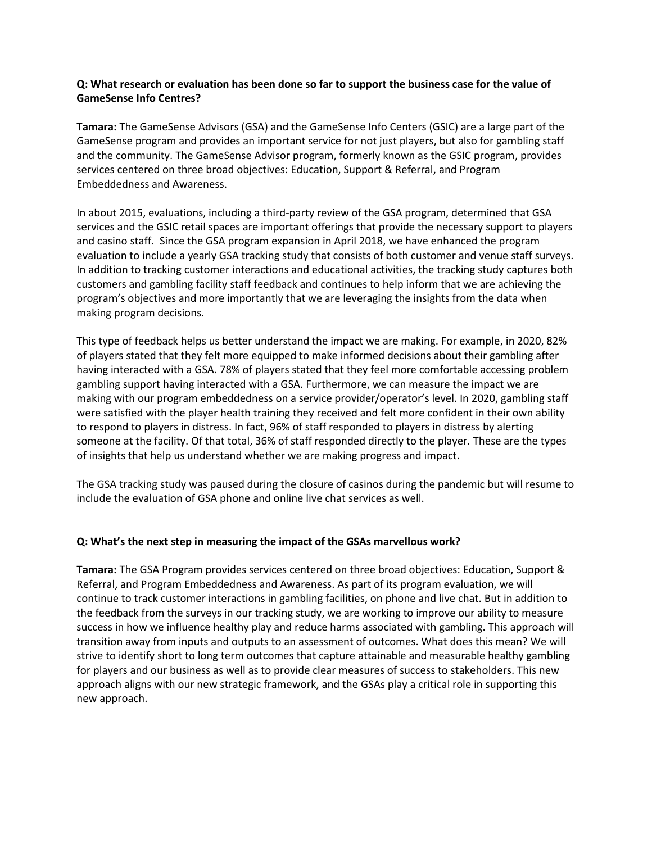### **Q: What research or evaluation has been done so far to support the business case for the value of GameSense Info Centres?**

**Tamara:** The GameSense Advisors (GSA) and the GameSense Info Centers (GSIC) are a large part of the GameSense program and provides an important service for not just players, but also for gambling staff and the community. The GameSense Advisor program, formerly known as the GSIC program, provides services centered on three broad objectives: Education, Support & Referral, and Program Embeddedness and Awareness.

In about 2015, evaluations, including a third-party review of the GSA program, determined that GSA services and the GSIC retail spaces are important offerings that provide the necessary support to players and casino staff. Since the GSA program expansion in April 2018, we have enhanced the program evaluation to include a yearly GSA tracking study that consists of both customer and venue staff surveys. In addition to tracking customer interactions and educational activities, the tracking study captures both customers and gambling facility staff feedback and continues to help inform that we are achieving the program's objectives and more importantly that we are leveraging the insights from the data when making program decisions.

This type of feedback helps us better understand the impact we are making. For example, in 2020, 82% of players stated that they felt more equipped to make informed decisions about their gambling after having interacted with a GSA. 78% of players stated that they feel more comfortable accessing problem gambling support having interacted with a GSA. Furthermore, we can measure the impact we are making with our program embeddedness on a service provider/operator's level. In 2020, gambling staff were satisfied with the player health training they received and felt more confident in their own ability to respond to players in distress. In fact, 96% of staff responded to players in distress by alerting someone at the facility. Of that total, 36% of staff responded directly to the player. These are the types of insights that help us understand whether we are making progress and impact.

The GSA tracking study was paused during the closure of casinos during the pandemic but will resume to include the evaluation of GSA phone and online live chat services as well.

#### **Q: What's the next step in measuring the impact of the GSAs marvellous work?**

**Tamara:** The GSA Program provides services centered on three broad objectives: Education, Support & Referral, and Program Embeddedness and Awareness. As part of its program evaluation, we will continue to track customer interactions in gambling facilities, on phone and live chat. But in addition to the feedback from the surveys in our tracking study, we are working to improve our ability to measure success in how we influence healthy play and reduce harms associated with gambling. This approach will transition away from inputs and outputs to an assessment of outcomes. What does this mean? We will strive to identify short to long term outcomes that capture attainable and measurable healthy gambling for players and our business as well as to provide clear measures of success to stakeholders. This new approach aligns with our new strategic framework, and the GSAs play a critical role in supporting this new approach.